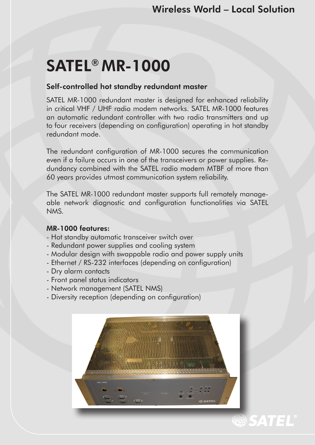# SATEL® MR-1000

# Self-controlled hot standby redundant master

SATEL MR-1000 redundant master is designed for enhanced reliability in critical VHF / UHF radio modem networks. SATEL MR-1000 features an automatic redundant controller with two radio transmitters and up to four receivers (depending on configuration) operating in hot standby redundant mode.

The redundant configuration of MR-1000 secures the communication even if a failure occurs in one of the transceivers or power supplies. Redundancy combined with the SATEL radio modem MTBF of more than 60 years provides utmost communication system reliability.

The SATEL MR-1000 redundant master supports full remotely manageable network diagnostic and configuration functionalities via SATEL NMS.

## MR-1000 features:

- Hot standby automatic transceiver switch over
- Redundant power supplies and cooling system
- Modular design with swappable radio and power supply units
- Ethernet / RS-232 interfaces (depending on configuration)
- Dry alarm contacts
- Front panel status indicators
- Network management (SATEL NMS)
- Diversity reception (depending on configuration)